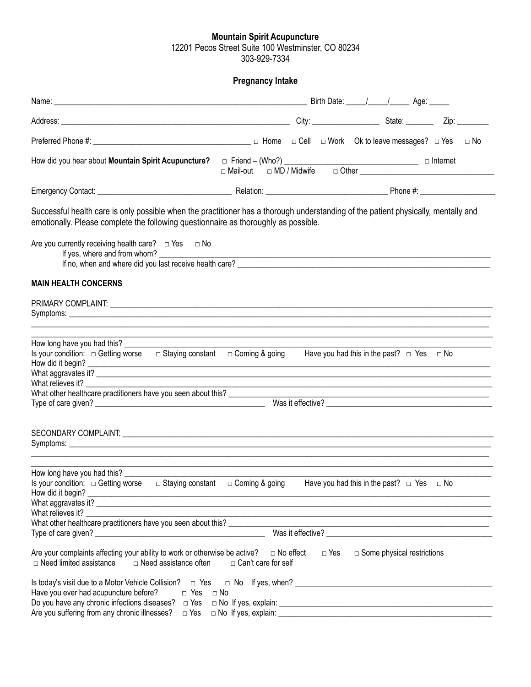#### **Mountain Spirit Acupuncture**

12201 Pecos Street Suite 100 Westminster, CO 80234

303-929-7334

|                                                                                                                                                                                                                                                                                                                                                                                                                                                                       | <b>Pregnancy Intake</b>                              |             |       |                                                     |  |
|-----------------------------------------------------------------------------------------------------------------------------------------------------------------------------------------------------------------------------------------------------------------------------------------------------------------------------------------------------------------------------------------------------------------------------------------------------------------------|------------------------------------------------------|-------------|-------|-----------------------------------------------------|--|
|                                                                                                                                                                                                                                                                                                                                                                                                                                                                       |                                                      |             |       |                                                     |  |
|                                                                                                                                                                                                                                                                                                                                                                                                                                                                       |                                                      |             |       |                                                     |  |
|                                                                                                                                                                                                                                                                                                                                                                                                                                                                       |                                                      |             |       |                                                     |  |
|                                                                                                                                                                                                                                                                                                                                                                                                                                                                       | □ Mail-out □ MD / Midwife □ Other <u>■ ■ Other ■</u> |             |       |                                                     |  |
|                                                                                                                                                                                                                                                                                                                                                                                                                                                                       |                                                      |             |       |                                                     |  |
| Successful health care is only possible when the practitioner has a thorough understanding of the patient physically, mentally and<br>emotionally. Please complete the following questionnaire as thoroughly as possible.<br>Are you currently receiving health care? $\Box$ Yes $\Box$ No<br>If yes, where and from whom?                                                                                                                                            |                                                      |             |       |                                                     |  |
|                                                                                                                                                                                                                                                                                                                                                                                                                                                                       |                                                      |             |       |                                                     |  |
| <b>MAIN HEALTH CONCERNS</b>                                                                                                                                                                                                                                                                                                                                                                                                                                           |                                                      |             |       |                                                     |  |
|                                                                                                                                                                                                                                                                                                                                                                                                                                                                       |                                                      |             |       |                                                     |  |
| How long have you had this? _______<br>Is your condition: $\Box$ Getting worse $\Box$ Staying constant $\Box$ Coming & going<br>How did it begin? <u>example and the set of the set of the set of the set of the set of the set of the set of the set of the set of the set of the set of the set of the set of the set of the set of the set of the set of the </u><br>What relieves it?<br>What other healthcare practitioners have you seen about this? __________ |                                                      |             |       | Have you had this in the past? $\Box$ Yes $\Box$ No |  |
| SECONDARY COMPLAINT: LATER AND ACCORDING TO A REPORT OF THE SECONDARY COMPLAINT:                                                                                                                                                                                                                                                                                                                                                                                      |                                                      |             |       |                                                     |  |
| How long have you had this? ______<br>Is your condition: $\Box$ Getting worse<br>□ Staying constant<br>What relieves it?                                                                                                                                                                                                                                                                                                                                              | $\Box$ Coming & going                                |             |       | Have you had this in the past? $\Box$ Yes $\Box$ No |  |
| What other healthcare practitioners have you seen about this?                                                                                                                                                                                                                                                                                                                                                                                                         |                                                      |             |       | Was it effective?                                   |  |
| Are your complaints affecting your ability to work or otherwise be active?<br>$\Box$ Need assistance often $\Box$ Can't care for self<br>$\Box$ Need limited assistance                                                                                                                                                                                                                                                                                               |                                                      | □ No effect | □ Yes | □ Some physical restrictions                        |  |
| Have you ever had acupuncture before?<br>$\Box$ Yes                                                                                                                                                                                                                                                                                                                                                                                                                   | $\Box$ No                                            |             |       |                                                     |  |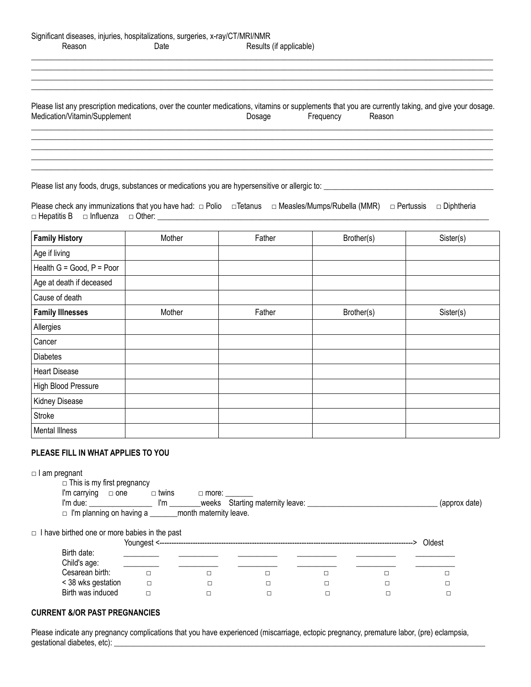|        | Significant diseases, injuries, hospitalizations, surgeries, x-ray/CT/MRI/NMR |                         |
|--------|-------------------------------------------------------------------------------|-------------------------|
| Reason | Date                                                                          | Results (if applicable) |

| Please list any prescription medications, over the counter medications, vitamins or supplements that you are currently taking, and give your dosage. |        |           |        |  |
|------------------------------------------------------------------------------------------------------------------------------------------------------|--------|-----------|--------|--|
| Medication/Vitamin/Supplement                                                                                                                        | Dosage | Frequency | Reason |  |
|                                                                                                                                                      |        |           |        |  |
|                                                                                                                                                      |        |           |        |  |

 $\_$  , and the set of the set of the set of the set of the set of the set of the set of the set of the set of the set of the set of the set of the set of the set of the set of the set of the set of the set of the set of th  $\_$  , and the set of the set of the set of the set of the set of the set of the set of the set of the set of the set of the set of the set of the set of the set of the set of the set of the set of the set of the set of th  $\_$  ,  $\_$  ,  $\_$  ,  $\_$  ,  $\_$  ,  $\_$  ,  $\_$  ,  $\_$  ,  $\_$  ,  $\_$  ,  $\_$  ,  $\_$  ,  $\_$  ,  $\_$  ,  $\_$  ,  $\_$  ,  $\_$  ,  $\_$  ,  $\_$  ,  $\_$  ,  $\_$  ,  $\_$  ,  $\_$  ,  $\_$  ,  $\_$  ,  $\_$  ,  $\_$  ,  $\_$  ,  $\_$  ,  $\_$  ,  $\_$  ,  $\_$  ,  $\_$  ,  $\_$  ,  $\_$  ,  $\_$  ,  $\_$  ,

 $\_$  , and the set of the set of the set of the set of the set of the set of the set of the set of the set of the set of the set of the set of the set of the set of the set of the set of the set of the set of the set of th  $\_$  , and the set of the set of the set of the set of the set of the set of the set of the set of the set of the set of the set of the set of the set of the set of the set of the set of the set of the set of the set of th  $\_$  ,  $\_$  ,  $\_$  ,  $\_$  ,  $\_$  ,  $\_$  ,  $\_$  ,  $\_$  ,  $\_$  ,  $\_$  ,  $\_$  ,  $\_$  ,  $\_$  ,  $\_$  ,  $\_$  ,  $\_$  ,  $\_$  ,  $\_$  ,  $\_$  ,  $\_$  ,  $\_$  ,  $\_$  ,  $\_$  ,  $\_$  ,  $\_$  ,  $\_$  ,  $\_$  ,  $\_$  ,  $\_$  ,  $\_$  ,  $\_$  ,  $\_$  ,  $\_$  ,  $\_$  ,  $\_$  ,  $\_$  ,  $\_$  ,  $\_$  , and the set of the set of the set of the set of the set of the set of the set of the set of the set of the set of the set of the set of the set of the set of the set of the set of the set of the set of the set of th

Please list any foods, drugs, substances or medications you are hypersensitive or allergic to: \_\_\_\_\_\_\_\_\_\_\_\_\_\_\_\_\_\_\_\_\_\_\_\_\_\_\_\_\_\_\_\_\_\_\_\_\_\_\_\_\_\_\_

|                                                   |  | Please check any immunizations that you have had: $\Box$ Polio $\Box$ Tetanus $\Box$ Measles/Mumps/Rubella (MMR) $\Box$ Pertussis $\Box$ Diphtheria |  |
|---------------------------------------------------|--|-----------------------------------------------------------------------------------------------------------------------------------------------------|--|
| $\Box$ Hepatitis B $\Box$ Influenza $\Box$ Other: |  |                                                                                                                                                     |  |

| <b>Family History</b>          | Mother | Father | Brother(s) | Sister(s) |
|--------------------------------|--------|--------|------------|-----------|
| Age if living                  |        |        |            |           |
| Health $G = Good$ , $P = Poor$ |        |        |            |           |
| Age at death if deceased       |        |        |            |           |
| Cause of death                 |        |        |            |           |
| <b>Family Illnesses</b>        | Mother | Father | Brother(s) | Sister(s) |
| Allergies                      |        |        |            |           |
| Cancer                         |        |        |            |           |
| <b>Diabetes</b>                |        |        |            |           |
| <b>Heart Disease</b>           |        |        |            |           |
| High Blood Pressure            |        |        |            |           |
| Kidney Disease                 |        |        |            |           |
| Stroke                         |        |        |            |           |
| Mental Illness                 |        |        |            |           |

## **PLEASE FILL IN WHAT APPLIES TO YOU**

|  |  | □ I am pregnant |
|--|--|-----------------|
|--|--|-----------------|

 $\Box$  This is my first pregnancy I'm carrying □ one □ twins □ more: \_\_\_\_\_\_\_ I'm due: \_\_\_\_\_\_\_\_\_\_\_\_\_\_\_\_ I'm \_\_\_\_\_\_\_\_weeks Starting maternity leave: \_\_\_\_\_\_\_\_\_\_\_\_\_\_\_\_\_\_\_\_\_\_\_\_\_\_\_\_\_\_\_\_\_ (approx date) □ I'm planning on having a \_\_\_\_\_\_\_month maternity leave.

 $\Box$  I have birthed one or more babies in the past

|                    | Youngest <----- |  |  | Oldest |
|--------------------|-----------------|--|--|--------|
| Birth date:        |                 |  |  |        |
| Child's age:       |                 |  |  |        |
| Cesarean birth:    |                 |  |  |        |
| < 38 wks gestation |                 |  |  |        |
| Birth was induced  |                 |  |  |        |

### **CURRENT &/OR PAST PREGNANCIES**

Please indicate any pregnancy complications that you have experienced (miscarriage, ectopic pregnancy, premature labor, (pre) eclampsia, gestational diabetes, etc): \_\_\_\_\_\_\_\_\_\_\_\_\_\_\_\_\_\_\_\_\_\_\_\_\_\_\_\_\_\_\_\_\_\_\_\_\_\_\_\_\_\_\_\_\_\_\_\_\_\_\_\_\_\_\_\_\_\_\_\_\_\_\_\_\_\_\_\_\_\_\_\_\_\_\_\_\_\_\_\_\_\_\_\_\_\_\_\_\_\_\_\_\_\_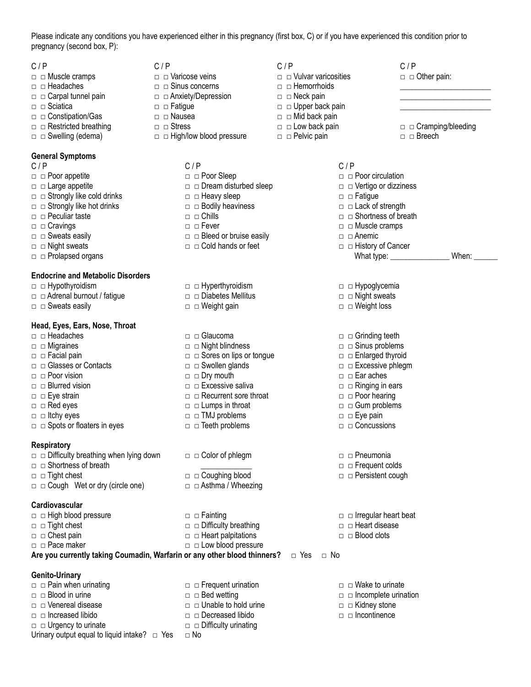Please indicate any conditions you have experienced either in this pregnancy (first box, C) or if you have experienced this condition prior to pregnancy (second box, P):

- □ □ Muscle cramps □ □ Varicose veins □ □ Vulvar varicosities □ □ Other pain:
- □ □ Carpal tunnel pain □ □ Anxiety/Depression □ Neck pain
- 
- □ □ Constipation/Gas □ □ Nausea □ □ Mid back pain
- □ □ Restricted breathing □ □ Stress □ Low back pain □ □ Cramping/bleeding
- 

# **General Symptoms**

- 
- 
- 
- □ □ Strongly like cold drinks □ □ Heavy sleep □ □ Fatigue
- □ □ Strongly like hot drinks □ □ Bodily heaviness Lack of strength □ □ Peculiar taste □ □ Chills □ □ Shortness of breath
- 
- 
- 
- 
- 

### **Endocrine and Metabolic Disorders**

- 
- □ □ Hypothyroidism □ □ Hyperthyroidism □ □ Hypoglycemia □ □ Adrenal burnout / fatigue □ □ Diabetes Mellitus
- □ □ Sweats easily □ □ Weight gain □ □ Weight loss

#### **Head, Eyes, Ears, Nose, Throat**

- 
- 
- 
- □ □ Glasses or Contacts □ □ Swollen glands □ □ Excessive phlegm
- □ □ Poor vision □ □ Dry mouth □ □ Ear aches
- 
- 
- 
- 
- □ □ Spots or floaters in eyes □ □ Teeth problems □ □ Concussions

#### **Respiratory**

- □ □ Difficulty breathing when Iying down □ □ Color of phlegm □ □ □ Pneumonia □ □ Shortness of breath  $\Box$  □ Frequent colds
- 
- □ □ Cough Wet or dry (circle one) □ □ Asthma / Wheezing

# **Cardiovascular**

| Are you currently taking Coumadin, Warfarin or any other blood thinners? $\Box$ Yes $\Box$ No |                                  |  |
|-----------------------------------------------------------------------------------------------|----------------------------------|--|
| □ □ Pace maker                                                                                | $\Box$ $\Box$ Low blood pressure |  |
| $\Box$ $\Box$ Chest pain                                                                      | $\Box$ Heart palpitations        |  |
| $\Box$ $\Box$ Tight chest                                                                     | $\Box$ Difficulty breathing      |  |
| $\Box$ $\Box$ High blood pressure                                                             | $\Box$ $\Box$ Fainting           |  |

# **Genito-Urinary**

- □ □ Pain when urinating □ □ □ Frequent urination □ □ □ Wake to urinate □ □ Blood in urine □ □ Bed wetting □ □ Incomplete urination □ □ Venereal disease □ □ Unable to hold urine □ Kidney stone
- □ □ Increased libido □ □ Decreased libido □ □ Incontinence
- □ □ Urgency to urinate <br>□ □ Difficulty urinating
- Urinary output equal to liquid intake?  $\Box$  Yes  $\Box$  No
- C / P C / P C / P C / P
	-
	-
	-
	-
	-
	-
- □ □ Swelling (edema) □ □ High/low blood pressure □ □ Pelvic pain □ □ Breech

- 
- □ □ Large appetite □ □ Dream disturbed sleep □ □ Vertigo or dizziness
	-
	-
	-
- □ □ Sweats easily □ □ □ Bleed or bruise easily □ □ Anemic
	-
	-
	-
	-
	-
- □ □ Migraines □ □ Night blindness □ □ Sinus problems
- □ □ Facial pain □ □ Sores on lips or tongue □ □ Enlarged thyroid
	-
	-
- □ □ Blurred vision □ □ □ Excessive saliva □ □ □ Ringing in ears
- □ □ Eye strain □ □ □ □ Recurrent sore throat □ □ □ Poor hearing
- □ □ Red eyes □ □ Lumps in throat □ □ Gum problems
- □ □ Itchy eyes □ □ □ TMJ problems
	-
- □ □ Tight chest □ □ Coughing blood □ □ Persistent cough
	-
	-
- 
- □ □ Headaches □ □ Sinus concerns □ □ Hemorrhoids \_\_\_\_\_\_\_\_\_\_\_\_\_\_\_\_\_\_\_\_\_\_\_\_\_
	-
- □ □ Sciatica □ □ Fatigue □ □ Upper back pain <u>\_\_\_\_\_\_\_\_\_\_\_\_\_\_\_\_\_\_\_\_\_</u>\_\_\_\_\_
	-
	-
	-
- C / P C / P C / P C / P C / P C / P C / P C / P C / P C / P C / P C / P C / P C / P C / P C / P C / P C / P C / P C / P C / P C / P C / P C / P C / P C / P C / P C / P C / P C / P C / P C / P C / P C / P C / P C / P C / P
- 
- 
- □ □ Poor appetite □ □ Poor Sleep □ □ Poor circulation
	-
	-
	-
- □ □ Cravings □ □ Fever □ □ Muscle cramps
	-
- □ □ Night sweats □ □ Cold hands or feet □ □ History of Cancer What type: \_\_\_\_\_\_\_\_\_\_\_\_\_\_\_\_\_\_\_ When: \_\_

- 
- 
- 
- □ □ Headaches □ □ Glaucoma □ □ Grinding teeth
	-

□ □ Irregular heart beat  $\Box$   $\Box$  Heart disease  $\Box$   $\Box$  Blood clots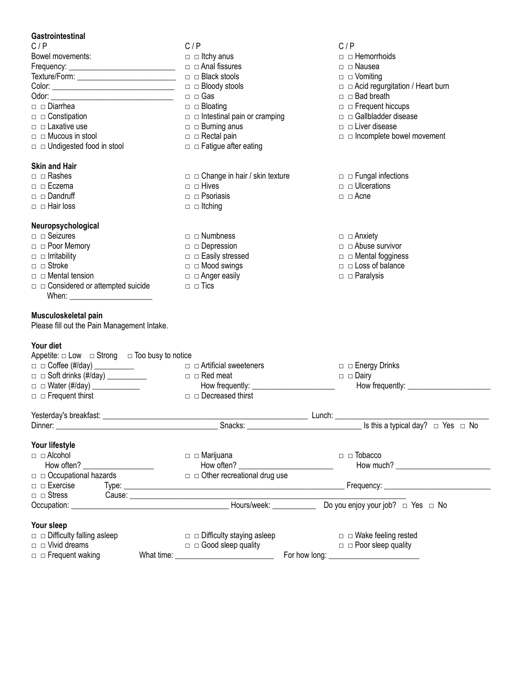# **Gastrointestinal**

| How often?<br>$\Box$ $\Box$ Vivid dreams<br>$\Box$ Frequent waking                                                                                                                                                                                                                                                                                    | $\Box$ $\Box$ Red meat<br>□ □ Decreased thirst<br>$\Box$ $\Box$ Marijuana<br>How often?<br>$\Box$ $\Box$ Other recreational drug use<br>Hours/week:<br>□ □ Difficulty staying asleep<br>$\Box$ $\Box$ Good sleep quality | □ □ Energy Drinks<br>$\Box$ $\Box$ Dairy<br>Lunch:<br>$\blacksquare$ Snacks: $\blacksquare$ Snacks: $\blacksquare$ Is this a typical day? $\blacksquare$ Yes $\blacksquare$ No<br>$\Box$ $\Box$ Tobacco<br>How much? $\overline{\phantom{a}}$<br>_____ Frequency: ________________________________<br>Do you enjoy your job? □ Yes □ No<br>$\Box$ $\Box$ Wake feeling rested<br>$\Box$ $\Box$ Poor sleep quality<br>For how long: _ |
|-------------------------------------------------------------------------------------------------------------------------------------------------------------------------------------------------------------------------------------------------------------------------------------------------------------------------------------------------------|--------------------------------------------------------------------------------------------------------------------------------------------------------------------------------------------------------------------------|-------------------------------------------------------------------------------------------------------------------------------------------------------------------------------------------------------------------------------------------------------------------------------------------------------------------------------------------------------------------------------------------------------------------------------------|
| Your diet<br>Appetite: $\Box$ Low $\Box$ Strong $\Box$ Too busy to notice<br>□ □ Soft drinks (#/day) __________<br>□ □ Water (#/day) _____________<br>$\Box$ $\Box$ Frequent thirst<br>Dinner: ______<br>Your lifestyle<br>$\Box$ $\Box$ Alcohol<br>□ □ Occupational hazards<br>$\Box$ $\Box$ Exercise<br>Your sleep<br>□ □ Difficulty falling asleep |                                                                                                                                                                                                                          |                                                                                                                                                                                                                                                                                                                                                                                                                                     |
|                                                                                                                                                                                                                                                                                                                                                       |                                                                                                                                                                                                                          |                                                                                                                                                                                                                                                                                                                                                                                                                                     |
|                                                                                                                                                                                                                                                                                                                                                       |                                                                                                                                                                                                                          |                                                                                                                                                                                                                                                                                                                                                                                                                                     |
|                                                                                                                                                                                                                                                                                                                                                       |                                                                                                                                                                                                                          |                                                                                                                                                                                                                                                                                                                                                                                                                                     |
|                                                                                                                                                                                                                                                                                                                                                       |                                                                                                                                                                                                                          |                                                                                                                                                                                                                                                                                                                                                                                                                                     |
|                                                                                                                                                                                                                                                                                                                                                       |                                                                                                                                                                                                                          |                                                                                                                                                                                                                                                                                                                                                                                                                                     |
|                                                                                                                                                                                                                                                                                                                                                       |                                                                                                                                                                                                                          |                                                                                                                                                                                                                                                                                                                                                                                                                                     |
|                                                                                                                                                                                                                                                                                                                                                       |                                                                                                                                                                                                                          |                                                                                                                                                                                                                                                                                                                                                                                                                                     |
|                                                                                                                                                                                                                                                                                                                                                       |                                                                                                                                                                                                                          |                                                                                                                                                                                                                                                                                                                                                                                                                                     |
|                                                                                                                                                                                                                                                                                                                                                       |                                                                                                                                                                                                                          |                                                                                                                                                                                                                                                                                                                                                                                                                                     |
|                                                                                                                                                                                                                                                                                                                                                       |                                                                                                                                                                                                                          |                                                                                                                                                                                                                                                                                                                                                                                                                                     |
|                                                                                                                                                                                                                                                                                                                                                       |                                                                                                                                                                                                                          |                                                                                                                                                                                                                                                                                                                                                                                                                                     |
|                                                                                                                                                                                                                                                                                                                                                       |                                                                                                                                                                                                                          |                                                                                                                                                                                                                                                                                                                                                                                                                                     |
|                                                                                                                                                                                                                                                                                                                                                       |                                                                                                                                                                                                                          |                                                                                                                                                                                                                                                                                                                                                                                                                                     |
|                                                                                                                                                                                                                                                                                                                                                       |                                                                                                                                                                                                                          |                                                                                                                                                                                                                                                                                                                                                                                                                                     |
|                                                                                                                                                                                                                                                                                                                                                       |                                                                                                                                                                                                                          |                                                                                                                                                                                                                                                                                                                                                                                                                                     |
|                                                                                                                                                                                                                                                                                                                                                       |                                                                                                                                                                                                                          |                                                                                                                                                                                                                                                                                                                                                                                                                                     |
|                                                                                                                                                                                                                                                                                                                                                       |                                                                                                                                                                                                                          |                                                                                                                                                                                                                                                                                                                                                                                                                                     |
|                                                                                                                                                                                                                                                                                                                                                       |                                                                                                                                                                                                                          |                                                                                                                                                                                                                                                                                                                                                                                                                                     |
|                                                                                                                                                                                                                                                                                                                                                       |                                                                                                                                                                                                                          |                                                                                                                                                                                                                                                                                                                                                                                                                                     |
| Please fill out the Pain Management Intake.                                                                                                                                                                                                                                                                                                           |                                                                                                                                                                                                                          |                                                                                                                                                                                                                                                                                                                                                                                                                                     |
| Musculoskeletal pain                                                                                                                                                                                                                                                                                                                                  |                                                                                                                                                                                                                          |                                                                                                                                                                                                                                                                                                                                                                                                                                     |
| When: _________________________                                                                                                                                                                                                                                                                                                                       |                                                                                                                                                                                                                          |                                                                                                                                                                                                                                                                                                                                                                                                                                     |
| $\Box$ $\Box$ Considered or attempted suicide                                                                                                                                                                                                                                                                                                         | $\Box$ $\Box$ Tics                                                                                                                                                                                                       | $\Box$ $\Box$ Paralysis                                                                                                                                                                                                                                                                                                                                                                                                             |
| $\Box$ Mental tension                                                                                                                                                                                                                                                                                                                                 | $\Box$ $\Box$ Anger easily                                                                                                                                                                                               |                                                                                                                                                                                                                                                                                                                                                                                                                                     |
| $\Box$ $\Box$ Stroke                                                                                                                                                                                                                                                                                                                                  | $\Box$ Mood swings                                                                                                                                                                                                       | $\Box$ $\Box$ Loss of balance                                                                                                                                                                                                                                                                                                                                                                                                       |
| $\Box$ Irritability                                                                                                                                                                                                                                                                                                                                   | □ □ Easily stressed                                                                                                                                                                                                      | $\Box$ Mental fogginess                                                                                                                                                                                                                                                                                                                                                                                                             |
| $\Box$ $\Box$ Poor Memory                                                                                                                                                                                                                                                                                                                             | $\Box$ Depression                                                                                                                                                                                                        | $\Box$ $\Box$ Abuse survivor                                                                                                                                                                                                                                                                                                                                                                                                        |
| Neuropsychological<br>$\Box$ $\Box$ Seizures                                                                                                                                                                                                                                                                                                          | $\Box$ Numbness                                                                                                                                                                                                          | $\Box$ $\Box$ Anxiety                                                                                                                                                                                                                                                                                                                                                                                                               |
|                                                                                                                                                                                                                                                                                                                                                       |                                                                                                                                                                                                                          |                                                                                                                                                                                                                                                                                                                                                                                                                                     |
| $\Box$ $\Box$ Hair loss                                                                                                                                                                                                                                                                                                                               | $\Box$ $\Box$ Itching                                                                                                                                                                                                    |                                                                                                                                                                                                                                                                                                                                                                                                                                     |
| $\Box$ $\Box$ Dandruff                                                                                                                                                                                                                                                                                                                                | $\Box$ Psoriasis                                                                                                                                                                                                         | $\Box$ $\Box$ Acne                                                                                                                                                                                                                                                                                                                                                                                                                  |
| $\Box$ $\Box$ Eczema                                                                                                                                                                                                                                                                                                                                  | $\Box$ $\Box$ Hives                                                                                                                                                                                                      | $\Box$ Ulcerations                                                                                                                                                                                                                                                                                                                                                                                                                  |
| $\Box$ $\Box$ Rashes                                                                                                                                                                                                                                                                                                                                  | $\Box$ $\Box$ Change in hair / skin texture                                                                                                                                                                              | $\Box$ $\Box$ Fungal infections                                                                                                                                                                                                                                                                                                                                                                                                     |
| <b>Skin and Hair</b>                                                                                                                                                                                                                                                                                                                                  |                                                                                                                                                                                                                          |                                                                                                                                                                                                                                                                                                                                                                                                                                     |
|                                                                                                                                                                                                                                                                                                                                                       |                                                                                                                                                                                                                          |                                                                                                                                                                                                                                                                                                                                                                                                                                     |
| $\Box$ $\Box$ Undigested food in stool                                                                                                                                                                                                                                                                                                                | $\Box$ Rectal pain<br>$\Box$ $\Box$ Fatigue after eating                                                                                                                                                                 | $\Box$ Incomplete bowel movement                                                                                                                                                                                                                                                                                                                                                                                                    |
| $\Box$ $\Box$ Mucous in stool                                                                                                                                                                                                                                                                                                                         |                                                                                                                                                                                                                          |                                                                                                                                                                                                                                                                                                                                                                                                                                     |
| $\Box$ $\Box$ Laxative use                                                                                                                                                                                                                                                                                                                            | $\Box$ $\Box$ Burning anus                                                                                                                                                                                               | $\Box$ $\Box$ Liver disease                                                                                                                                                                                                                                                                                                                                                                                                         |
| $\Box$ $\Box$ Constipation                                                                                                                                                                                                                                                                                                                            | $\Box$ Intestinal pain or cramping                                                                                                                                                                                       | □ □ Gallbladder disease                                                                                                                                                                                                                                                                                                                                                                                                             |
| □ □ Diarrhea                                                                                                                                                                                                                                                                                                                                          | $\Box$ $\Box$ Bloating                                                                                                                                                                                                   | $\Box$ $\Box$ Frequent hiccups                                                                                                                                                                                                                                                                                                                                                                                                      |
|                                                                                                                                                                                                                                                                                                                                                       | $\Box$ $\Box$ Bloody stools<br>$\Box$ $\Box$ Gas                                                                                                                                                                         | $\Box$ Bad breath                                                                                                                                                                                                                                                                                                                                                                                                                   |
|                                                                                                                                                                                                                                                                                                                                                       |                                                                                                                                                                                                                          | $\Box$ $\Box$ Vomiting<br>$\Box$ $\Box$ Acid regurgitation / Heart burn                                                                                                                                                                                                                                                                                                                                                             |
|                                                                                                                                                                                                                                                                                                                                                       |                                                                                                                                                                                                                          |                                                                                                                                                                                                                                                                                                                                                                                                                                     |
|                                                                                                                                                                                                                                                                                                                                                       | $\Box$ $\Box$ Black stools                                                                                                                                                                                               |                                                                                                                                                                                                                                                                                                                                                                                                                                     |
|                                                                                                                                                                                                                                                                                                                                                       | □ □ Anal fissures                                                                                                                                                                                                        | $\Box$ $\Box$ Nausea                                                                                                                                                                                                                                                                                                                                                                                                                |
| C/P<br>Bowel movements:                                                                                                                                                                                                                                                                                                                               | C/P<br>$\Box$ $\Box$ Itchy anus                                                                                                                                                                                          | C/P<br>$\Box$ $\Box$ Hemorrhoids                                                                                                                                                                                                                                                                                                                                                                                                    |